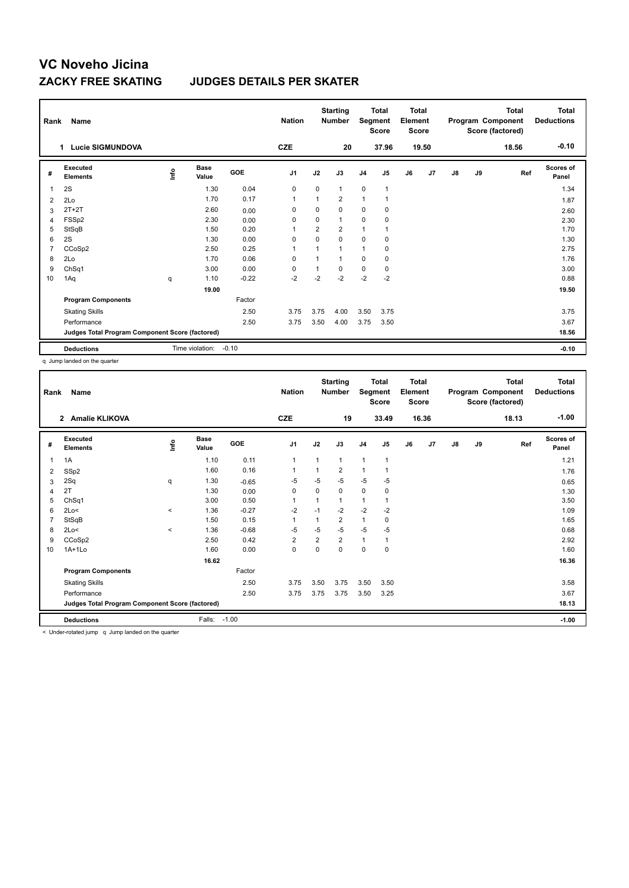### **ZACKY FREE SKATING JUDGES DETAILS PER SKATER**

| Rank           | Name<br>Lucie SIGMUNDOVA<br>1                   |      | <b>Nation</b><br><b>CZE</b> |         | <b>Starting</b><br><b>Number</b><br>20 | Segment        | <b>Total</b><br><b>Score</b><br>37.96 | <b>Total</b><br>Element<br><b>Score</b> | 19.50        |    |    | <b>Total</b><br>Program Component<br>Score (factored)<br>18.56 | <b>Total</b><br><b>Deductions</b><br>$-0.10$ |     |                           |
|----------------|-------------------------------------------------|------|-----------------------------|---------|----------------------------------------|----------------|---------------------------------------|-----------------------------------------|--------------|----|----|----------------------------------------------------------------|----------------------------------------------|-----|---------------------------|
|                |                                                 |      |                             |         |                                        |                |                                       |                                         |              |    |    |                                                                |                                              |     |                           |
| #              | Executed<br><b>Elements</b>                     | lnfo | <b>Base</b><br>Value        | GOE     | J <sub>1</sub>                         | J2             | J3                                    | J <sub>4</sub>                          | J5           | J6 | J7 | $\mathsf{J}8$                                                  | J9                                           | Ref | <b>Scores of</b><br>Panel |
| $\mathbf{1}$   | 2S                                              |      | 1.30                        | 0.04    | $\mathbf 0$                            | $\mathbf 0$    | $\mathbf{1}$                          | $\mathbf 0$                             | $\mathbf{1}$ |    |    |                                                                |                                              |     | 1.34                      |
| 2              | 2Lo                                             |      | 1.70                        | 0.17    | $\mathbf{1}$                           |                | $\overline{2}$                        | $\overline{1}$                          |              |    |    |                                                                |                                              |     | 1.87                      |
| 3              | $2T+2T$                                         |      | 2.60                        | 0.00    | 0                                      | 0              | 0                                     | 0                                       | 0            |    |    |                                                                |                                              |     | 2.60                      |
| 4              | FSSp2                                           |      | 2.30                        | 0.00    | 0                                      | 0              | $\mathbf{1}$                          | $\mathbf 0$                             | $\mathbf 0$  |    |    |                                                                |                                              |     | 2.30                      |
| 5              | StSqB                                           |      | 1.50                        | 0.20    | 1                                      | $\overline{2}$ | $\overline{2}$                        | 1                                       |              |    |    |                                                                |                                              |     | 1.70                      |
| 6              | 2S                                              |      | 1.30                        | 0.00    | 0                                      | $\Omega$       | 0                                     | 0                                       | 0            |    |    |                                                                |                                              |     | 1.30                      |
| $\overline{7}$ | CCoSp2                                          |      | 2.50                        | 0.25    | $\mathbf{1}$                           |                | $\mathbf{1}$                          | $\mathbf{1}$                            | $\mathbf 0$  |    |    |                                                                |                                              |     | 2.75                      |
| 8              | 2Lo                                             |      | 1.70                        | 0.06    | $\mathbf 0$                            |                | 1                                     | $\mathbf 0$                             | $\mathbf 0$  |    |    |                                                                |                                              |     | 1.76                      |
| 9              | ChSq1                                           |      | 3.00                        | 0.00    | 0                                      |                | 0                                     | $\pmb{0}$                               | 0            |    |    |                                                                |                                              |     | 3.00                      |
| 10             | 1Aq                                             | q    | 1.10                        | $-0.22$ | $-2$                                   | $-2$           | $-2$                                  | $-2$                                    | $-2$         |    |    |                                                                |                                              |     | 0.88                      |
|                |                                                 |      | 19.00                       |         |                                        |                |                                       |                                         |              |    |    |                                                                |                                              |     | 19.50                     |
|                | <b>Program Components</b>                       |      |                             | Factor  |                                        |                |                                       |                                         |              |    |    |                                                                |                                              |     |                           |
|                | <b>Skating Skills</b>                           |      |                             | 2.50    | 3.75                                   | 3.75           | 4.00                                  | 3.50                                    | 3.75         |    |    |                                                                |                                              |     | 3.75                      |
|                | Performance                                     |      |                             | 2.50    | 3.75                                   | 3.50           | 4.00                                  | 3.75                                    | 3.50         |    |    |                                                                |                                              |     | 3.67                      |
|                | Judges Total Program Component Score (factored) |      |                             |         |                                        |                |                                       |                                         |              |    |    |                                                                |                                              |     | 18.56                     |
|                | <b>Deductions</b>                               |      | Time violation:             | $-0.10$ |                                        |                |                                       |                                         |              |    |    |                                                                |                                              |     | $-0.10$                   |

q Jump landed on the quarter

| Rank           | <b>Name</b>                                     |         |                      |         | <b>Nation</b>  |                | <b>Starting</b><br><b>Number</b> | Segment        | <b>Total</b><br><b>Score</b> | <b>Total</b><br>Element<br><b>Score</b> |       |               |    | <b>Total</b><br>Program Component<br>Score (factored) | <b>Total</b><br><b>Deductions</b> |
|----------------|-------------------------------------------------|---------|----------------------|---------|----------------|----------------|----------------------------------|----------------|------------------------------|-----------------------------------------|-------|---------------|----|-------------------------------------------------------|-----------------------------------|
|                | 2 Amalie KLIKOVA                                |         |                      |         | <b>CZE</b>     |                | 19                               |                | 33.49                        |                                         | 16.36 |               |    | 18.13                                                 | $-1.00$                           |
| #              | Executed<br><b>Elements</b>                     | ١nfo    | <b>Base</b><br>Value | GOE     | J <sub>1</sub> | J2             | J3                               | J <sub>4</sub> | J5                           | J6                                      | J7    | $\mathsf{J}8$ | J9 | Ref                                                   | Scores of<br>Panel                |
| 1              | 1A                                              |         | 1.10                 | 0.11    | 1              | 1              | 1                                | $\overline{1}$ | 1                            |                                         |       |               |    |                                                       | 1.21                              |
| 2              | SSp2                                            |         | 1.60                 | 0.16    | $\mathbf{1}$   | 1              | $\overline{2}$                   | $\mathbf{1}$   | 1                            |                                         |       |               |    |                                                       | 1.76                              |
| 3              | 2Sq                                             | q       | 1.30                 | $-0.65$ | -5             | $-5$           | $-5$                             | -5             | $-5$                         |                                         |       |               |    |                                                       | 0.65                              |
| 4              | 2T                                              |         | 1.30                 | 0.00    | 0              | 0              | 0                                | 0              | 0                            |                                         |       |               |    |                                                       | 1.30                              |
| 5              | ChSq1                                           |         | 3.00                 | 0.50    | $\mathbf{1}$   | 1              | $\mathbf{1}$                     | $\mathbf{1}$   |                              |                                         |       |               |    |                                                       | 3.50                              |
| 6              | 2Lo<                                            | $\,<$   | 1.36                 | $-0.27$ | $-2$           | $-1$           | $-2$                             | $-2$           | $-2$                         |                                         |       |               |    |                                                       | 1.09                              |
| $\overline{7}$ | StSqB                                           |         | 1.50                 | 0.15    | $\mathbf{1}$   | 1              | $\overline{2}$                   | $\mathbf{1}$   | 0                            |                                         |       |               |    |                                                       | 1.65                              |
| 8              | 2Lo<                                            | $\prec$ | 1.36                 | $-0.68$ | $-5$           | $-5$           | $-5$                             | $-5$           | $-5$                         |                                         |       |               |    |                                                       | 0.68                              |
| 9              | CCoSp2                                          |         | 2.50                 | 0.42    | $\overline{2}$ | $\overline{2}$ | $\overline{2}$                   | $\mathbf{1}$   | 1                            |                                         |       |               |    |                                                       | 2.92                              |
| 10             | $1A+1Lo$                                        |         | 1.60                 | 0.00    | $\mathbf 0$    | 0              | 0                                | $\mathbf 0$    | 0                            |                                         |       |               |    |                                                       | 1.60                              |
|                |                                                 |         | 16.62                |         |                |                |                                  |                |                              |                                         |       |               |    |                                                       | 16.36                             |
|                | <b>Program Components</b>                       |         |                      | Factor  |                |                |                                  |                |                              |                                         |       |               |    |                                                       |                                   |
|                | <b>Skating Skills</b>                           |         |                      | 2.50    | 3.75           | 3.50           | 3.75                             | 3.50           | 3.50                         |                                         |       |               |    |                                                       | 3.58                              |
|                | Performance                                     |         |                      | 2.50    | 3.75           | 3.75           | 3.75                             | 3.50           | 3.25                         |                                         |       |               |    |                                                       | 3.67                              |
|                | Judges Total Program Component Score (factored) |         |                      |         |                |                |                                  |                |                              |                                         |       |               |    |                                                       | 18.13                             |
|                | <b>Deductions</b>                               |         | Falls:               | $-1.00$ |                |                |                                  |                |                              |                                         |       |               |    |                                                       | $-1.00$                           |
|                |                                                 |         |                      |         |                |                |                                  |                |                              |                                         |       |               |    |                                                       |                                   |

< Under-rotated jump q Jump landed on the quarter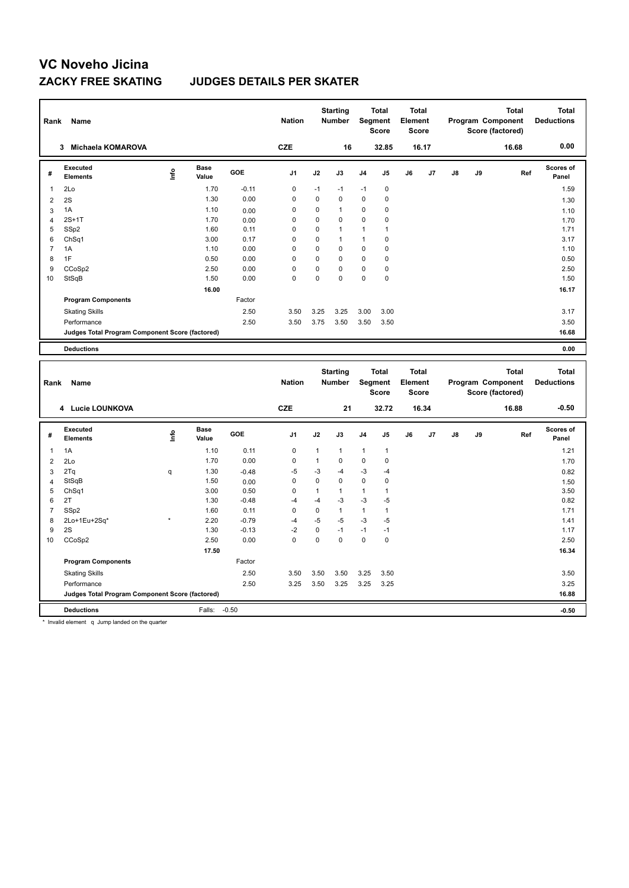### **ZACKY FREE SKATING JUDGES DETAILS PER SKATER**

| Rank           | Name<br>Michaela KOMAROVA<br>3                  |                                  |                      |            | <b>Nation</b>  |             | <b>Starting</b><br><b>Number</b> | Segment        | <b>Total</b><br><b>Score</b> | <b>Total</b><br>Element<br><b>Score</b> |       |    |    | <b>Total</b><br>Program Component<br>Score (factored) | <b>Total</b><br><b>Deductions</b> |
|----------------|-------------------------------------------------|----------------------------------|----------------------|------------|----------------|-------------|----------------------------------|----------------|------------------------------|-----------------------------------------|-------|----|----|-------------------------------------------------------|-----------------------------------|
|                |                                                 |                                  |                      |            | <b>CZE</b>     |             | 16                               |                | 32.85                        |                                         | 16.17 |    |    | 16.68                                                 | 0.00                              |
| #              | Executed<br><b>Elements</b>                     | $\mathop{\mathsf{Irr}}\nolimits$ | <b>Base</b><br>Value | <b>GOE</b> | J <sub>1</sub> | J2          | J3                               | J <sub>4</sub> | J <sub>5</sub>               | J6                                      | J7    | J8 | J9 | Ref                                                   | <b>Scores of</b><br>Panel         |
| 1              | 2Lo                                             |                                  | 1.70                 | $-0.11$    | 0              | $-1$        | $-1$                             | $-1$           | $\mathbf 0$                  |                                         |       |    |    |                                                       | 1.59                              |
| 2              | 2S                                              |                                  | 1.30                 | 0.00       | 0              | 0           | $\Omega$                         | 0              | 0                            |                                         |       |    |    |                                                       | 1.30                              |
| 3              | 1A                                              |                                  | 1.10                 | 0.00       | $\Omega$       | 0           | $\mathbf{1}$                     | 0              | 0                            |                                         |       |    |    |                                                       | 1.10                              |
| 4              | $2S+1T$                                         |                                  | 1.70                 | 0.00       | 0              | $\mathbf 0$ | $\Omega$                         | $\mathbf 0$    | $\mathbf 0$                  |                                         |       |    |    |                                                       | 1.70                              |
| 5              | SSp2                                            |                                  | 1.60                 | 0.11       | 0              | $\mathbf 0$ | $\mathbf{1}$                     | $\mathbf{1}$   | $\mathbf{1}$                 |                                         |       |    |    |                                                       | 1.71                              |
| 6              | ChSq1                                           |                                  | 3.00                 | 0.17       | 0              | $\Omega$    | $\mathbf{1}$                     | 1              | 0                            |                                         |       |    |    |                                                       | 3.17                              |
| $\overline{7}$ | 1A                                              |                                  | 1.10                 | 0.00       | 0              | $\Omega$    | $\Omega$                         | 0              | $\mathbf 0$                  |                                         |       |    |    |                                                       | 1.10                              |
| 8              | 1F                                              |                                  | 0.50                 | 0.00       | $\Omega$       | $\Omega$    | $\Omega$                         | 0              | 0                            |                                         |       |    |    |                                                       | 0.50                              |
| 9              | CCoSp2                                          |                                  | 2.50                 | 0.00       | 0              | 0           | $\Omega$                         | 0              | $\mathbf 0$                  |                                         |       |    |    |                                                       | 2.50                              |
| 10             | StSqB                                           |                                  | 1.50                 | 0.00       | 0              | $\Omega$    | $\Omega$                         | $\mathbf 0$    | 0                            |                                         |       |    |    |                                                       | 1.50                              |
|                |                                                 |                                  | 16.00                |            |                |             |                                  |                |                              |                                         |       |    |    |                                                       | 16.17                             |
|                | <b>Program Components</b>                       |                                  |                      | Factor     |                |             |                                  |                |                              |                                         |       |    |    |                                                       |                                   |
|                | <b>Skating Skills</b>                           |                                  |                      | 2.50       | 3.50           | 3.25        | 3.25                             | 3.00           | 3.00                         |                                         |       |    |    |                                                       | 3.17                              |
|                | Performance                                     |                                  |                      | 2.50       | 3.50           | 3.75        | 3.50                             | 3.50           | 3.50                         |                                         |       |    |    |                                                       | 3.50                              |
|                | Judges Total Program Component Score (factored) |                                  |                      |            |                |             |                                  |                |                              |                                         |       |    |    |                                                       | 16.68                             |
|                | <b>Deductions</b>                               |                                  |                      |            |                |             |                                  |                |                              |                                         |       |    |    |                                                       | 0.00                              |
|                |                                                 |                                  |                      |            |                |             |                                  |                |                              |                                         |       |    |    |                                                       |                                   |

| Rank           | Name<br>4 Lucie LOUNKOVA                        |         |                      |            |                |              | <b>Starting</b><br><b>Number</b> | Segment        | <b>Total</b><br><b>Score</b> | <b>Total</b><br>Element<br><b>Score</b> |       |               |    | <b>Total</b><br>Program Component<br>Score (factored) | <b>Total</b><br><b>Deductions</b> |
|----------------|-------------------------------------------------|---------|----------------------|------------|----------------|--------------|----------------------------------|----------------|------------------------------|-----------------------------------------|-------|---------------|----|-------------------------------------------------------|-----------------------------------|
|                |                                                 |         |                      |            | <b>CZE</b>     |              | 21                               |                | 32.72                        |                                         | 16.34 |               |    | 16.88                                                 | $-0.50$                           |
| #              | Executed<br><b>Elements</b>                     | ١nfo    | <b>Base</b><br>Value | <b>GOE</b> | J <sub>1</sub> | J2           | J3                               | J <sub>4</sub> | J <sub>5</sub>               | J6                                      | J7    | $\mathsf{J}8$ | J9 | Ref                                                   | <b>Scores of</b><br>Panel         |
| 1              | 1A                                              |         | 1.10                 | 0.11       | $\mathbf 0$    | $\mathbf{1}$ | $\mathbf{1}$                     | $\mathbf{1}$   | $\mathbf{1}$                 |                                         |       |               |    |                                                       | 1.21                              |
| $\overline{2}$ | 2Lo                                             |         | 1.70                 | 0.00       | 0              | $\mathbf{1}$ | 0                                | $\mathbf 0$    | $\mathbf 0$                  |                                         |       |               |    |                                                       | 1.70                              |
| 3              | 2Tq                                             | q       | 1.30                 | $-0.48$    | $-5$           | -3           | -4                               | $-3$           | $-4$                         |                                         |       |               |    |                                                       | 0.82                              |
| $\overline{4}$ | StSqB                                           |         | 1.50                 | 0.00       | 0              | $\mathbf 0$  | 0                                | $\mathbf 0$    | 0                            |                                         |       |               |    |                                                       | 1.50                              |
| 5              | ChSq1                                           |         | 3.00                 | 0.50       | $\mathbf 0$    | 1            | $\mathbf{1}$                     | 1              |                              |                                         |       |               |    |                                                       | 3.50                              |
| 6              | 2T                                              |         | 1.30                 | $-0.48$    | $-4$           | $-4$         | $-3$                             | $-3$           | $-5$                         |                                         |       |               |    |                                                       | 0.82                              |
| $\overline{7}$ | SSp2                                            |         | 1.60                 | 0.11       | 0              | 0            | $\mathbf{1}$                     | $\mathbf{1}$   | $\overline{1}$               |                                         |       |               |    |                                                       | 1.71                              |
| 8              | 2Lo+1Eu+2Sq*                                    | $\star$ | 2.20                 | $-0.79$    | $-4$           | $-5$         | $-5$                             | $-3$           | -5                           |                                         |       |               |    |                                                       | 1.41                              |
| 9              | 2S                                              |         | 1.30                 | $-0.13$    | $-2$           | $\mathbf 0$  | $-1$                             | $-1$           | $-1$                         |                                         |       |               |    |                                                       | 1.17                              |
| 10             | CCoSp2                                          |         | 2.50                 | 0.00       | 0              | 0            | 0                                | 0              | 0                            |                                         |       |               |    |                                                       | 2.50                              |
|                |                                                 |         | 17.50                |            |                |              |                                  |                |                              |                                         |       |               |    |                                                       | 16.34                             |
|                | <b>Program Components</b>                       |         |                      | Factor     |                |              |                                  |                |                              |                                         |       |               |    |                                                       |                                   |
|                | <b>Skating Skills</b>                           |         |                      | 2.50       | 3.50           | 3.50         | 3.50                             | 3.25           | 3.50                         |                                         |       |               |    |                                                       | 3.50                              |
|                | Performance                                     |         |                      | 2.50       | 3.25           | 3.50         | 3.25                             | 3.25           | 3.25                         |                                         |       |               |    |                                                       | 3.25                              |
|                | Judges Total Program Component Score (factored) |         |                      |            |                |              |                                  |                |                              |                                         |       |               |    |                                                       | 16.88                             |
|                | <b>Deductions</b>                               |         | Falls:               | $-0.50$    |                |              |                                  |                |                              |                                         |       |               |    |                                                       | $-0.50$                           |

\* Invalid element q Jump landed on the quarter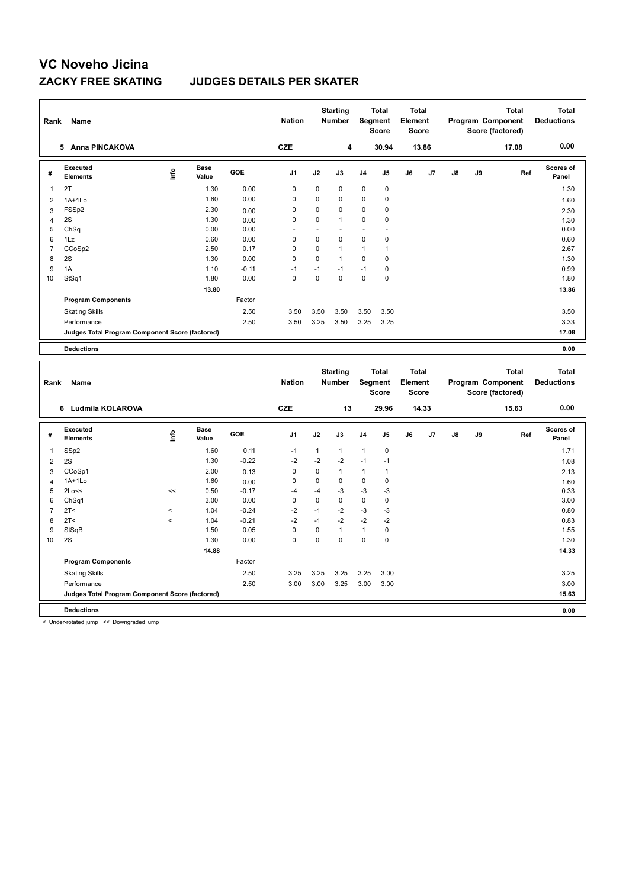### **ZACKY FREE SKATING JUDGES DETAILS PER SKATER**

| Rank           | <b>Name</b>                                     |      |                      |         | <b>Nation</b> |             | <b>Starting</b><br><b>Number</b> | Segment        | <b>Total</b><br><b>Score</b> | <b>Total</b><br>Element<br><b>Score</b> |                |    |    | <b>Total</b><br>Program Component<br>Score (factored) | <b>Total</b><br><b>Deductions</b> |
|----------------|-------------------------------------------------|------|----------------------|---------|---------------|-------------|----------------------------------|----------------|------------------------------|-----------------------------------------|----------------|----|----|-------------------------------------------------------|-----------------------------------|
|                | <b>Anna PINCAKOVA</b><br>5                      |      |                      |         | <b>CZE</b>    |             | 4                                |                | 30.94                        |                                         | 13.86          |    |    | 17.08                                                 | 0.00                              |
| #              | Executed<br><b>Elements</b>                     | ١nf٥ | <b>Base</b><br>Value | GOE     | J1            | J2          | J3                               | J <sub>4</sub> | J5                           | J6                                      | J <sub>7</sub> | J8 | J9 | Ref                                                   | <b>Scores of</b><br>Panel         |
| 1              | 2T                                              |      | 1.30                 | 0.00    | 0             | 0           | 0                                | $\mathbf 0$    | 0                            |                                         |                |    |    |                                                       | 1.30                              |
| 2              | $1A+1Lo$                                        |      | 1.60                 | 0.00    | 0             | $\Omega$    | 0                                | $\mathbf 0$    | 0                            |                                         |                |    |    |                                                       | 1.60                              |
| 3              | FSSp2                                           |      | 2.30                 | 0.00    | 0             | 0           | 0                                | $\mathbf 0$    | 0                            |                                         |                |    |    |                                                       | 2.30                              |
| 4              | 2S                                              |      | 1.30                 | 0.00    | 0             | $\Omega$    | 1                                | $\mathbf 0$    | 0                            |                                         |                |    |    |                                                       | 1.30                              |
| 5              | ChSq                                            |      | 0.00                 | 0.00    | ٠             |             |                                  |                | ٠                            |                                         |                |    |    |                                                       | 0.00                              |
| 6              | 1Lz                                             |      | 0.60                 | 0.00    | 0             | $\mathbf 0$ | 0                                | $\mathbf 0$    | 0                            |                                         |                |    |    |                                                       | 0.60                              |
| $\overline{7}$ | CCoSp2                                          |      | 2.50                 | 0.17    | 0             | 0           | $\mathbf{1}$                     | $\mathbf{1}$   | 1                            |                                         |                |    |    |                                                       | 2.67                              |
| 8              | 2S                                              |      | 1.30                 | 0.00    | 0             | 0           | $\mathbf{1}$                     | $\mathbf 0$    | 0                            |                                         |                |    |    |                                                       | 1.30                              |
| 9              | 1A                                              |      | 1.10                 | $-0.11$ | $-1$          | $-1$        | $-1$                             | $-1$           | 0                            |                                         |                |    |    |                                                       | 0.99                              |
| 10             | StSq1                                           |      | 1.80                 | 0.00    | $\mathbf 0$   | $\Omega$    | 0                                | $\mathbf 0$    | $\mathbf 0$                  |                                         |                |    |    |                                                       | 1.80                              |
|                |                                                 |      | 13.80                |         |               |             |                                  |                |                              |                                         |                |    |    |                                                       | 13.86                             |
|                | <b>Program Components</b>                       |      |                      | Factor  |               |             |                                  |                |                              |                                         |                |    |    |                                                       |                                   |
|                | <b>Skating Skills</b>                           |      |                      | 2.50    | 3.50          | 3.50        | 3.50                             | 3.50           | 3.50                         |                                         |                |    |    |                                                       | 3.50                              |
|                | Performance                                     |      |                      | 2.50    | 3.50          | 3.25        | 3.50                             | 3.25           | 3.25                         |                                         |                |    |    |                                                       | 3.33                              |
|                | Judges Total Program Component Score (factored) |      |                      |         |               |             |                                  |                |                              |                                         |                |    |    |                                                       | 17.08                             |
|                | <b>Deductions</b>                               |      |                      |         |               |             |                                  |                |                              |                                         |                |    |    |                                                       | 0.00                              |

|                | Name<br>Rank<br>Ludmila KOLAROVA<br>6           |         |               |            | <b>Nation</b>  |              | <b>Starting</b><br><b>Number</b> |                | <b>Total</b><br>Segment<br><b>Score</b> | <b>Total</b><br>Element<br>Score |       |    |    | <b>Total</b><br>Program Component<br>Score (factored) | <b>Total</b><br><b>Deductions</b> |
|----------------|-------------------------------------------------|---------|---------------|------------|----------------|--------------|----------------------------------|----------------|-----------------------------------------|----------------------------------|-------|----|----|-------------------------------------------------------|-----------------------------------|
|                |                                                 |         |               |            | <b>CZE</b>     |              | 13                               |                | 29.96                                   |                                  | 14.33 |    |    | 15.63                                                 | 0.00                              |
| #              | Executed<br><b>Elements</b>                     | ۴٥      | Base<br>Value | <b>GOE</b> | J <sub>1</sub> | J2           | J3                               | J <sub>4</sub> | J <sub>5</sub>                          | J6                               | J7    | J8 | J9 | Ref                                                   | Scores of<br>Panel                |
| $\overline{1}$ | SSp2                                            |         | 1.60          | 0.11       | $-1$           | $\mathbf{1}$ | $\mathbf{1}$                     | $\mathbf{1}$   | $\mathbf 0$                             |                                  |       |    |    |                                                       | 1.71                              |
| $\overline{2}$ | 2S                                              |         | 1.30          | $-0.22$    | $-2$           | $-2$         | $-2$                             | $-1$           | $-1$                                    |                                  |       |    |    |                                                       | 1.08                              |
| 3              | CCoSp1                                          |         | 2.00          | 0.13       | 0              | 0            | $\mathbf{1}$                     | $\mathbf{1}$   | $\mathbf{1}$                            |                                  |       |    |    |                                                       | 2.13                              |
| 4              | $1A+1L0$                                        |         | 1.60          | 0.00       | 0              | 0            | $\mathbf 0$                      | $\mathbf 0$    | 0                                       |                                  |       |    |    |                                                       | 1.60                              |
| 5              | 2Lo<<                                           | <<      | 0.50          | $-0.17$    | $-4$           | $-4$         | $-3$                             | $-3$           | $-3$                                    |                                  |       |    |    |                                                       | 0.33                              |
| 6              | ChSq1                                           |         | 3.00          | 0.00       | $\mathbf 0$    | 0            | $\mathbf 0$                      | $\pmb{0}$      | $\mathbf 0$                             |                                  |       |    |    |                                                       | 3.00                              |
| $\overline{7}$ | 2T <                                            | $\,<$   | 1.04          | $-0.24$    | $-2$           | $-1$         | $-2$                             | $-3$           | $-3$                                    |                                  |       |    |    |                                                       | 0.80                              |
| 8              | 2T<                                             | $\,<\,$ | 1.04          | $-0.21$    | $-2$           | $-1$         | $-2$                             | $-2$           | $-2$                                    |                                  |       |    |    |                                                       | 0.83                              |
| 9              | StSqB                                           |         | 1.50          | 0.05       | 0              | 0            | $\mathbf{1}$                     | $\mathbf{1}$   | 0                                       |                                  |       |    |    |                                                       | 1.55                              |
| 10             | 2S                                              |         | 1.30          | 0.00       | 0              | 0            | $\mathbf 0$                      | $\mathbf 0$    | 0                                       |                                  |       |    |    |                                                       | 1.30                              |
|                |                                                 |         | 14.88         |            |                |              |                                  |                |                                         |                                  |       |    |    |                                                       | 14.33                             |
|                | <b>Program Components</b>                       |         |               | Factor     |                |              |                                  |                |                                         |                                  |       |    |    |                                                       |                                   |
|                | <b>Skating Skills</b>                           |         |               | 2.50       | 3.25           | 3.25         | 3.25                             | 3.25           | 3.00                                    |                                  |       |    |    |                                                       | 3.25                              |
|                | Performance                                     |         |               | 2.50       | 3.00           | 3.00         | 3.25                             | 3.00           | 3.00                                    |                                  |       |    |    |                                                       | 3.00                              |
|                | Judges Total Program Component Score (factored) |         |               |            |                |              |                                  |                |                                         |                                  |       |    |    |                                                       | 15.63                             |
|                | <b>Deductions</b>                               |         |               |            |                |              |                                  |                |                                         |                                  |       |    |    |                                                       | 0.00                              |

< Under-rotated jump << Downgraded jump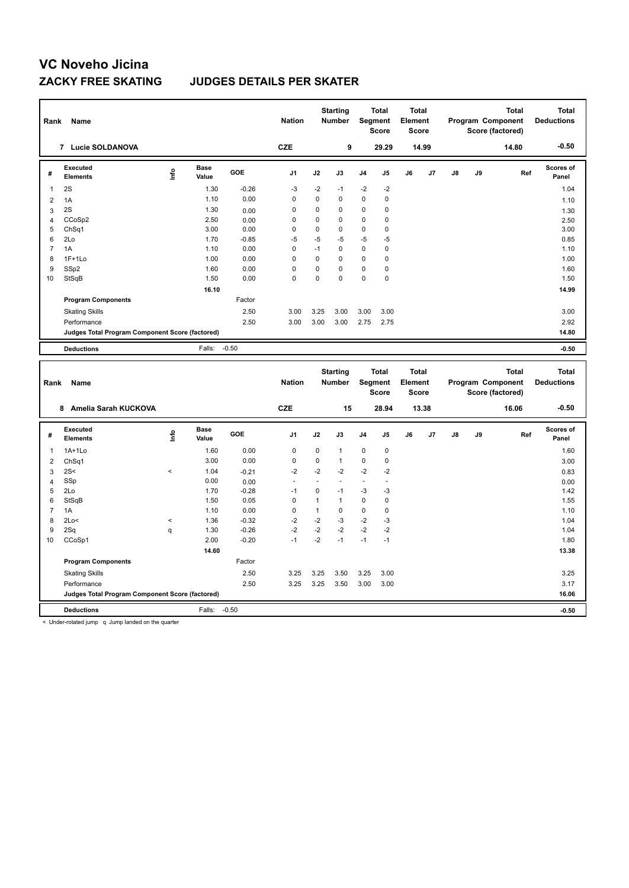### **ZACKY FREE SKATING JUDGES DETAILS PER SKATER**

| Rank           | Name<br>Lucie SOLDANOVA<br>$\overline{7}$       |      |                      |            | <b>Nation</b>  |             | <b>Starting</b><br><b>Number</b> | Segment        | <b>Total</b><br><b>Score</b> | <b>Total</b><br>Element<br><b>Score</b> |                |    |    | <b>Total</b><br>Program Component<br>Score (factored) | <b>Total</b><br><b>Deductions</b> |
|----------------|-------------------------------------------------|------|----------------------|------------|----------------|-------------|----------------------------------|----------------|------------------------------|-----------------------------------------|----------------|----|----|-------------------------------------------------------|-----------------------------------|
|                |                                                 |      |                      |            | <b>CZE</b>     |             | 9                                |                | 29.29                        |                                         | 14.99          |    |    | 14.80                                                 | $-0.50$                           |
| #              | Executed<br><b>Elements</b>                     | Info | <b>Base</b><br>Value | <b>GOE</b> | J <sub>1</sub> | J2          | J3                               | J <sub>4</sub> | J <sub>5</sub>               | J6                                      | J <sub>7</sub> | J8 | J9 | Ref                                                   | <b>Scores of</b><br>Panel         |
| 1              | 2S                                              |      | 1.30                 | $-0.26$    | -3             | $-2$        | $-1$                             | $-2$           | $-2$                         |                                         |                |    |    |                                                       | 1.04                              |
| 2              | 1A                                              |      | 1.10                 | 0.00       | 0              | $\mathbf 0$ | 0                                | 0              | 0                            |                                         |                |    |    |                                                       | 1.10                              |
| 3              | 2S                                              |      | 1.30                 | 0.00       | 0              | 0           | $\Omega$                         | 0              | 0                            |                                         |                |    |    |                                                       | 1.30                              |
| $\overline{4}$ | CCoSp2                                          |      | 2.50                 | 0.00       | 0              | $\mathbf 0$ | 0                                | $\mathbf 0$    | 0                            |                                         |                |    |    |                                                       | 2.50                              |
| 5              | ChSq1                                           |      | 3.00                 | 0.00       | $\Omega$       | 0           | $\Omega$                         | 0              | 0                            |                                         |                |    |    |                                                       | 3.00                              |
| 6              | 2Lo                                             |      | 1.70                 | $-0.85$    | $-5$           | $-5$        | $-5$                             | $-5$           | $-5$                         |                                         |                |    |    |                                                       | 0.85                              |
| $\overline{7}$ | 1A                                              |      | 1.10                 | 0.00       | 0              | $-1$        | $\Omega$                         | 0              | 0                            |                                         |                |    |    |                                                       | 1.10                              |
| 8              | $1F+1Lo$                                        |      | 1.00                 | 0.00       | 0              | $\mathbf 0$ | $\Omega$                         | 0              | 0                            |                                         |                |    |    |                                                       | 1.00                              |
| 9              | SSp2                                            |      | 1.60                 | 0.00       | $\Omega$       | $\Omega$    | $\Omega$                         | 0              | 0                            |                                         |                |    |    |                                                       | 1.60                              |
| 10             | StSqB                                           |      | 1.50                 | 0.00       | $\mathbf 0$    | $\Omega$    | $\Omega$                         | $\mathbf 0$    | $\mathbf 0$                  |                                         |                |    |    |                                                       | 1.50                              |
|                |                                                 |      | 16.10                |            |                |             |                                  |                |                              |                                         |                |    |    |                                                       | 14.99                             |
|                | <b>Program Components</b>                       |      |                      | Factor     |                |             |                                  |                |                              |                                         |                |    |    |                                                       |                                   |
|                | <b>Skating Skills</b>                           |      |                      | 2.50       | 3.00           | 3.25        | 3.00                             | 3.00           | 3.00                         |                                         |                |    |    |                                                       | 3.00                              |
|                | Performance                                     |      |                      | 2.50       | 3.00           | 3.00        | 3.00                             | 2.75           | 2.75                         |                                         |                |    |    |                                                       | 2.92                              |
|                | Judges Total Program Component Score (factored) |      |                      |            |                |             |                                  |                |                              |                                         |                |    |    |                                                       | 14.80                             |
|                | <b>Deductions</b>                               |      | Falls:               | $-0.50$    |                |             |                                  |                |                              |                                         |                |    |    |                                                       | $-0.50$                           |
|                |                                                 |      |                      |            |                |             |                                  |                |                              |                                         |                |    |    |                                                       |                                   |

| Rank           | Name                                            |         |                      |            | <b>Nation</b>            |             | <b>Starting</b><br><b>Number</b> | Segment        | <b>Total</b><br><b>Score</b> | Total<br>Element<br><b>Score</b> |       |               |    | <b>Total</b><br>Program Component<br>Score (factored) | <b>Total</b><br><b>Deductions</b> |
|----------------|-------------------------------------------------|---------|----------------------|------------|--------------------------|-------------|----------------------------------|----------------|------------------------------|----------------------------------|-------|---------------|----|-------------------------------------------------------|-----------------------------------|
|                | Amelia Sarah KUCKOVA<br>8                       |         |                      |            | <b>CZE</b>               |             | 15                               |                | 28.94                        |                                  | 13.38 |               |    | 16.06                                                 | $-0.50$                           |
| #              | Executed<br><b>Elements</b>                     | ١nfo    | <b>Base</b><br>Value | <b>GOE</b> | J <sub>1</sub>           | J2          | J3                               | J <sub>4</sub> | J5                           | J6                               | J7    | $\mathsf{J}8$ | J9 | Ref                                                   | Scores of<br>Panel                |
| 1              | $1A+1Lo$                                        |         | 1.60                 | 0.00       | $\mathbf 0$              | 0           | $\mathbf{1}$                     | 0              | 0                            |                                  |       |               |    |                                                       | 1.60                              |
| 2              | ChSq1                                           |         | 3.00                 | 0.00       | $\mathbf 0$              | $\mathbf 0$ | $\mathbf{1}$                     | $\mathbf 0$    | $\pmb{0}$                    |                                  |       |               |    |                                                       | 3.00                              |
| 3              | 2S<                                             | $\prec$ | 1.04                 | $-0.21$    | $-2$                     | $-2$        | $-2$                             | $-2$           | $-2$                         |                                  |       |               |    |                                                       | 0.83                              |
| 4              | SSp                                             |         | 0.00                 | 0.00       | $\overline{\phantom{a}}$ |             |                                  | ٠              | ٠                            |                                  |       |               |    |                                                       | 0.00                              |
| 5              | 2Lo                                             |         | 1.70                 | $-0.28$    | $-1$                     | 0           | $-1$                             | $-3$           | -3                           |                                  |       |               |    |                                                       | 1.42                              |
| 6              | StSqB                                           |         | 1.50                 | 0.05       | 0                        | 1           | $\mathbf{1}$                     | $\pmb{0}$      | 0                            |                                  |       |               |    |                                                       | 1.55                              |
| $\overline{7}$ | 1A                                              |         | 1.10                 | 0.00       | 0                        | 1           | 0                                | $\pmb{0}$      | 0                            |                                  |       |               |    |                                                       | 1.10                              |
| 8              | 2Lo<                                            | $\,<\,$ | 1.36                 | $-0.32$    | $-2$                     | $-2$        | $-3$                             | $-2$           | -3                           |                                  |       |               |    |                                                       | 1.04                              |
| 9              | 2Sq                                             | q       | 1.30                 | $-0.26$    | $-2$                     | $-2$        | $-2$                             | $-2$           | $-2$                         |                                  |       |               |    |                                                       | 1.04                              |
| 10             | CCoSp1                                          |         | 2.00                 | $-0.20$    | $-1$                     | $-2$        | $-1$                             | $-1$           | $-1$                         |                                  |       |               |    |                                                       | 1.80                              |
|                |                                                 |         | 14.60                |            |                          |             |                                  |                |                              |                                  |       |               |    |                                                       | 13.38                             |
|                | <b>Program Components</b>                       |         |                      | Factor     |                          |             |                                  |                |                              |                                  |       |               |    |                                                       |                                   |
|                | <b>Skating Skills</b>                           |         |                      | 2.50       | 3.25                     | 3.25        | 3.50                             | 3.25           | 3.00                         |                                  |       |               |    |                                                       | 3.25                              |
|                | Performance                                     |         |                      | 2.50       | 3.25                     | 3.25        | 3.50                             | 3.00           | 3.00                         |                                  |       |               |    |                                                       | 3.17                              |
|                | Judges Total Program Component Score (factored) |         |                      |            |                          |             |                                  |                |                              |                                  |       |               |    |                                                       | 16.06                             |
|                | <b>Deductions</b>                               |         | Falls:               | $-0.50$    |                          |             |                                  |                |                              |                                  |       |               |    |                                                       | $-0.50$                           |

< Under-rotated jump q Jump landed on the quarter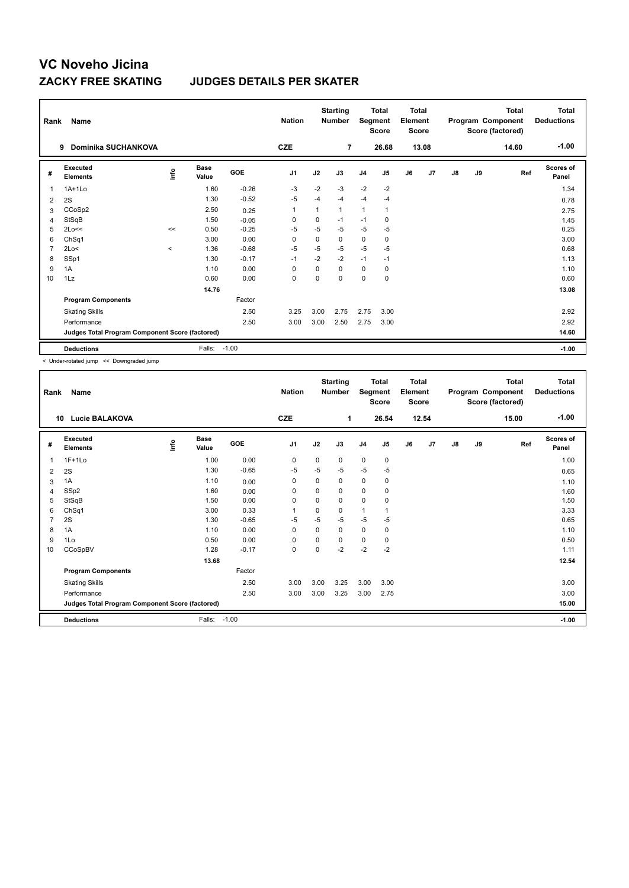### **ZACKY FREE SKATING JUDGES DETAILS PER SKATER**

| Rank           | Name                                            |                                  | <b>Nation</b>        |            | <b>Starting</b><br><b>Number</b> | Segment | <b>Total</b><br><b>Score</b> | <b>Total</b><br>Element<br><b>Score</b> |             |    |       | Total<br>Program Component<br>Score (factored) | <b>Total</b><br><b>Deductions</b> |       |                           |
|----------------|-------------------------------------------------|----------------------------------|----------------------|------------|----------------------------------|---------|------------------------------|-----------------------------------------|-------------|----|-------|------------------------------------------------|-----------------------------------|-------|---------------------------|
|                | Dominika SUCHANKOVA<br>9                        |                                  |                      |            | <b>CZE</b>                       |         | $\overline{7}$               |                                         | 26.68       |    | 13.08 |                                                |                                   | 14.60 | $-1.00$                   |
| #              | Executed<br><b>Elements</b>                     | $\mathop{\mathsf{Int}}\nolimits$ | <b>Base</b><br>Value | <b>GOE</b> | J <sub>1</sub>                   | J2      | J3                           | J <sub>4</sub>                          | J5          | J6 | J7    | $\mathsf{J}8$                                  | J9                                | Ref   | <b>Scores of</b><br>Panel |
| $\overline{1}$ | $1A+1Lo$                                        |                                  | 1.60                 | $-0.26$    | -3                               | $-2$    | $-3$                         | $-2$                                    | $-2$        |    |       |                                                |                                   |       | 1.34                      |
| 2              | 2S                                              |                                  | 1.30                 | $-0.52$    | -5                               | $-4$    | $-4$                         | $-4$                                    | $-4$        |    |       |                                                |                                   |       | 0.78                      |
| 3              | CCoSp2                                          |                                  | 2.50                 | 0.25       | $\overline{1}$                   | 1       | 1                            | $\mathbf{1}$                            | 1           |    |       |                                                |                                   |       | 2.75                      |
| 4              | StSqB                                           |                                  | 1.50                 | $-0.05$    | 0                                | 0       | $-1$                         | $-1$                                    | 0           |    |       |                                                |                                   |       | 1.45                      |
| 5              | 2Lo<<                                           | <<                               | 0.50                 | $-0.25$    | -5                               | -5      | $-5$                         | $-5$                                    | -5          |    |       |                                                |                                   |       | 0.25                      |
| 6              | Ch <sub>Sq1</sub>                               |                                  | 3.00                 | 0.00       | $\Omega$                         | 0       | 0                            | $\mathbf 0$                             | 0           |    |       |                                                |                                   |       | 3.00                      |
| $\overline{7}$ | 2Lo<                                            | $\prec$                          | 1.36                 | $-0.68$    | $-5$                             | $-5$    | $-5$                         | $-5$                                    | $-5$        |    |       |                                                |                                   |       | 0.68                      |
| 8              | SSp1                                            |                                  | 1.30                 | $-0.17$    | $-1$                             | $-2$    | $-2$                         | $-1$                                    | $-1$        |    |       |                                                |                                   |       | 1.13                      |
| 9              | 1A                                              |                                  | 1.10                 | 0.00       | 0                                | 0       | $\Omega$                     | 0                                       | 0           |    |       |                                                |                                   |       | 1.10                      |
| 10             | 1Lz                                             |                                  | 0.60                 | 0.00       | $\mathbf 0$                      | 0       | $\Omega$                     | $\mathbf 0$                             | $\mathbf 0$ |    |       |                                                |                                   |       | 0.60                      |
|                |                                                 |                                  | 14.76                |            |                                  |         |                              |                                         |             |    |       |                                                |                                   |       | 13.08                     |
|                | <b>Program Components</b>                       |                                  |                      | Factor     |                                  |         |                              |                                         |             |    |       |                                                |                                   |       |                           |
|                | <b>Skating Skills</b>                           |                                  |                      | 2.50       | 3.25                             | 3.00    | 2.75                         | 2.75                                    | 3.00        |    |       |                                                |                                   |       | 2.92                      |
|                | Performance                                     |                                  |                      | 2.50       | 3.00                             | 3.00    | 2.50                         | 2.75                                    | 3.00        |    |       |                                                |                                   |       | 2.92                      |
|                | Judges Total Program Component Score (factored) |                                  |                      |            |                                  |         |                              |                                         |             |    |       |                                                |                                   |       | 14.60                     |
|                | <b>Deductions</b>                               |                                  | Falls:               | $-1.00$    |                                  |         |                              |                                         |             |    |       |                                                |                                   |       | $-1.00$                   |

< Under-rotated jump << Downgraded jump

| Rank           | Name                                            |      |               |            | <b>Nation</b> |          | <b>Starting</b><br><b>Number</b> | Segment        | <b>Total</b><br><b>Score</b> | <b>Total</b><br>Element<br><b>Score</b> |       |               |    | <b>Total</b><br>Program Component<br>Score (factored) | <b>Total</b><br><b>Deductions</b> |
|----------------|-------------------------------------------------|------|---------------|------------|---------------|----------|----------------------------------|----------------|------------------------------|-----------------------------------------|-------|---------------|----|-------------------------------------------------------|-----------------------------------|
|                | <b>Lucie BALAKOVA</b><br>10                     |      |               |            | <b>CZE</b>    |          | 1                                |                | 26.54                        |                                         | 12.54 |               |    | 15.00                                                 | $-1.00$                           |
| #              | Executed<br><b>Elements</b>                     | lnfo | Base<br>Value | <b>GOE</b> | J1            | J2       | J3                               | J <sub>4</sub> | J5                           | J6                                      | J7    | $\mathsf{J}8$ | J9 | Ref                                                   | Scores of<br>Panel                |
| 1              | $1F+1Lo$                                        |      | 1.00          | 0.00       | 0             | 0        | 0                                | $\mathbf 0$    | 0                            |                                         |       |               |    |                                                       | 1.00                              |
| 2              | 2S                                              |      | 1.30          | $-0.65$    | -5            | $-5$     | $-5$                             | $-5$           | $-5$                         |                                         |       |               |    |                                                       | 0.65                              |
| 3              | 1A                                              |      | 1.10          | 0.00       | 0             | 0        | 0                                | $\mathbf 0$    | 0                            |                                         |       |               |    |                                                       | 1.10                              |
| 4              | SSp2                                            |      | 1.60          | 0.00       | $\mathbf 0$   | $\Omega$ | 0                                | $\mathbf 0$    | 0                            |                                         |       |               |    |                                                       | 1.60                              |
| 5              | StSqB                                           |      | 1.50          | 0.00       | 0             | 0        | 0                                | 0              | 0                            |                                         |       |               |    |                                                       | 1.50                              |
| 6              | ChSq1                                           |      | 3.00          | 0.33       | $\mathbf{1}$  | 0        | 0                                | $\mathbf{1}$   |                              |                                         |       |               |    |                                                       | 3.33                              |
| $\overline{7}$ | 2S                                              |      | 1.30          | $-0.65$    | $-5$          | $-5$     | $-5$                             | $-5$           | $-5$                         |                                         |       |               |    |                                                       | 0.65                              |
| 8              | 1A                                              |      | 1.10          | 0.00       | 0             | 0        | 0                                | $\mathbf 0$    | 0                            |                                         |       |               |    |                                                       | 1.10                              |
| 9              | 1Lo                                             |      | 0.50          | 0.00       | 0             | 0        | 0                                | $\pmb{0}$      | 0                            |                                         |       |               |    |                                                       | 0.50                              |
| 10             | CCoSpBV                                         |      | 1.28          | $-0.17$    | $\mathbf 0$   | 0        | $-2$                             | $-2$           | $-2$                         |                                         |       |               |    |                                                       | 1.11                              |
|                |                                                 |      | 13.68         |            |               |          |                                  |                |                              |                                         |       |               |    |                                                       | 12.54                             |
|                | <b>Program Components</b>                       |      |               | Factor     |               |          |                                  |                |                              |                                         |       |               |    |                                                       |                                   |
|                | <b>Skating Skills</b>                           |      |               | 2.50       | 3.00          | 3.00     | 3.25                             | 3.00           | 3.00                         |                                         |       |               |    |                                                       | 3.00                              |
|                | Performance                                     |      |               | 2.50       | 3.00          | 3.00     | 3.25                             | 3.00           | 2.75                         |                                         |       |               |    |                                                       | 3.00                              |
|                | Judges Total Program Component Score (factored) |      |               |            |               |          |                                  |                |                              |                                         |       |               |    |                                                       | 15.00                             |
|                | <b>Deductions</b>                               |      | Falls:        | $-1.00$    |               |          |                                  |                |                              |                                         |       |               |    |                                                       | $-1.00$                           |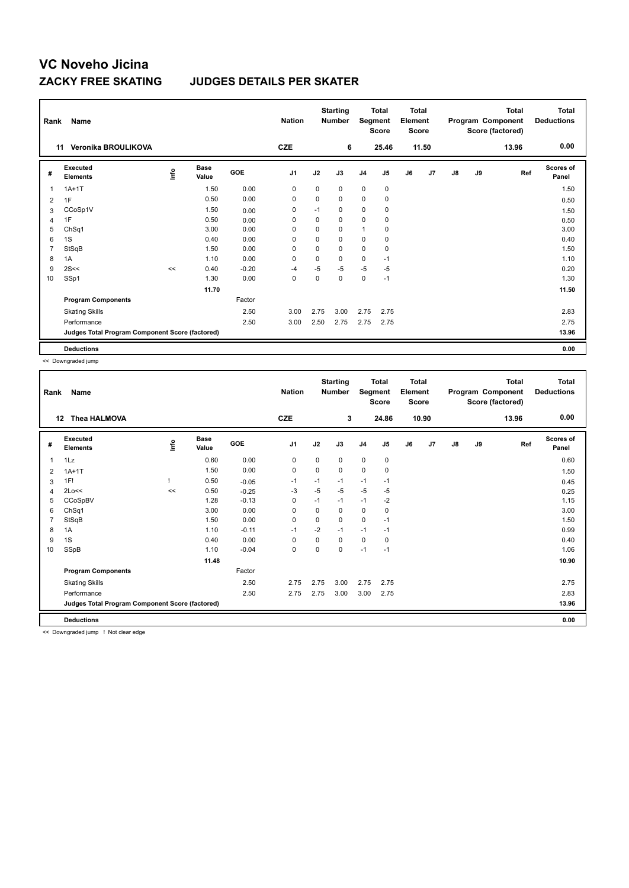### **ZACKY FREE SKATING JUDGES DETAILS PER SKATER**

| Rank           | Name                                            |      | <b>Nation</b> |         | <b>Starting</b><br><b>Number</b> | Segment | <b>Total</b><br><b>Score</b> | <b>Total</b><br>Element<br><b>Score</b> |       |    |       | Total<br>Program Component<br>Score (factored) | <b>Total</b><br><b>Deductions</b> |       |                    |
|----------------|-------------------------------------------------|------|---------------|---------|----------------------------------|---------|------------------------------|-----------------------------------------|-------|----|-------|------------------------------------------------|-----------------------------------|-------|--------------------|
|                | Veronika BROULIKOVA<br>11                       |      |               |         | <b>CZE</b>                       |         | 6                            |                                         | 25.46 |    | 11.50 |                                                |                                   | 13.96 | 0.00               |
| #              | Executed<br><b>Elements</b>                     | lnfo | Base<br>Value | GOE     | J <sub>1</sub>                   | J2      | J3                           | J <sub>4</sub>                          | J5    | J6 | J7    | $\mathsf{J}8$                                  | J9                                | Ref   | Scores of<br>Panel |
| 1              | $1A+1T$                                         |      | 1.50          | 0.00    | 0                                | 0       | 0                            | $\mathbf 0$                             | 0     |    |       |                                                |                                   |       | 1.50               |
| 2              | 1F                                              |      | 0.50          | 0.00    | 0                                | 0       | 0                            | $\pmb{0}$                               | 0     |    |       |                                                |                                   |       | 0.50               |
| 3              | CCoSp1V                                         |      | 1.50          | 0.00    | 0                                | $-1$    | 0                            | $\mathbf 0$                             | 0     |    |       |                                                |                                   |       | 1.50               |
| $\overline{4}$ | 1F                                              |      | 0.50          | 0.00    | 0                                | 0       | 0                            | $\pmb{0}$                               | 0     |    |       |                                                |                                   |       | 0.50               |
| 5              | ChSq1                                           |      | 3.00          | 0.00    | 0                                | 0       | 0                            | $\mathbf{1}$                            | 0     |    |       |                                                |                                   |       | 3.00               |
| 6              | 1S                                              |      | 0.40          | 0.00    | 0                                | 0       | 0                            | 0                                       | 0     |    |       |                                                |                                   |       | 0.40               |
| $\overline{7}$ | StSqB                                           |      | 1.50          | 0.00    | $\mathbf 0$                      | 0       | 0                            | $\mathbf 0$                             | 0     |    |       |                                                |                                   |       | 1.50               |
| 8              | 1A                                              |      | 1.10          | 0.00    | 0                                | 0       | 0                            | 0                                       | $-1$  |    |       |                                                |                                   |       | 1.10               |
| 9              | 2S<<                                            | <<   | 0.40          | $-0.20$ | $-4$                             | $-5$    | $-5$                         | -5                                      | $-5$  |    |       |                                                |                                   |       | 0.20               |
| 10             | SSp1                                            |      | 1.30          | 0.00    | $\mathbf 0$                      | 0       | 0                            | $\mathbf 0$                             | $-1$  |    |       |                                                |                                   |       | 1.30               |
|                |                                                 |      | 11.70         |         |                                  |         |                              |                                         |       |    |       |                                                |                                   |       | 11.50              |
|                | <b>Program Components</b>                       |      |               | Factor  |                                  |         |                              |                                         |       |    |       |                                                |                                   |       |                    |
|                | <b>Skating Skills</b>                           |      |               | 2.50    | 3.00                             | 2.75    | 3.00                         | 2.75                                    | 2.75  |    |       |                                                |                                   |       | 2.83               |
|                | Performance                                     |      |               | 2.50    | 3.00                             | 2.50    | 2.75                         | 2.75                                    | 2.75  |    |       |                                                |                                   |       | 2.75               |
|                | Judges Total Program Component Score (factored) |      |               |         |                                  |         |                              |                                         |       |    |       |                                                |                                   |       | 13.96              |
|                | <b>Deductions</b>                               |      |               |         |                                  |         |                              |                                         |       |    |       |                                                |                                   |       | 0.00               |

<< Downgraded jump

| Rank           | Name                                            |      |                      |         | <b>Nation</b> |             | <b>Starting</b><br><b>Number</b> | Segment        | <b>Total</b><br><b>Score</b> | <b>Total</b><br>Element<br><b>Score</b> |       |               |    | <b>Total</b><br>Program Component<br>Score (factored) | <b>Total</b><br><b>Deductions</b> |
|----------------|-------------------------------------------------|------|----------------------|---------|---------------|-------------|----------------------------------|----------------|------------------------------|-----------------------------------------|-------|---------------|----|-------------------------------------------------------|-----------------------------------|
|                | <b>Thea HALMOVA</b><br>$12 \,$                  |      |                      |         | <b>CZE</b>    |             | 3                                |                | 24.86                        |                                         | 10.90 |               |    | 13.96                                                 | 0.00                              |
| #              | Executed<br><b>Elements</b>                     | ١nfo | <b>Base</b><br>Value | GOE     | J1            | J2          | J3                               | J <sub>4</sub> | J5                           | J6                                      | J7    | $\mathsf{J}8$ | J9 | Ref                                                   | <b>Scores of</b><br>Panel         |
| 1              | 1Lz                                             |      | 0.60                 | 0.00    | 0             | $\mathbf 0$ | 0                                | $\mathbf 0$    | $\pmb{0}$                    |                                         |       |               |    |                                                       | 0.60                              |
| 2              | $1A+1T$                                         |      | 1.50                 | 0.00    | 0             | 0           | 0                                | 0              | 0                            |                                         |       |               |    |                                                       | 1.50                              |
| 3              | 1F!                                             |      | 0.50                 | $-0.05$ | $-1$          | $-1$        | $-1$                             | $-1$           | $-1$                         |                                         |       |               |    |                                                       | 0.45                              |
| $\overline{4}$ | 2Lo<<                                           | <<   | 0.50                 | $-0.25$ | -3            | $-5$        | $-5$                             | $-5$           | $-5$                         |                                         |       |               |    |                                                       | 0.25                              |
| 5              | CCoSpBV                                         |      | 1.28                 | $-0.13$ | 0             | $-1$        | $-1$                             | $-1$           | $-2$                         |                                         |       |               |    |                                                       | 1.15                              |
| 6              | ChSq1                                           |      | 3.00                 | 0.00    | 0             | $\mathbf 0$ | 0                                | $\pmb{0}$      | $\mathbf 0$                  |                                         |       |               |    |                                                       | 3.00                              |
| $\overline{7}$ | StSqB                                           |      | 1.50                 | 0.00    | 0             | 0           | 0                                | 0              | $-1$                         |                                         |       |               |    |                                                       | 1.50                              |
| 8              | 1A                                              |      | 1.10                 | $-0.11$ | $-1$          | $-2$        | $-1$                             | $-1$           | $-1$                         |                                         |       |               |    |                                                       | 0.99                              |
| 9              | 1S                                              |      | 0.40                 | 0.00    | 0             | 0           | 0                                | $\pmb{0}$      | 0                            |                                         |       |               |    |                                                       | 0.40                              |
| 10             | SSpB                                            |      | 1.10                 | $-0.04$ | 0             | 0           | 0                                | $-1$           | $-1$                         |                                         |       |               |    |                                                       | 1.06                              |
|                |                                                 |      | 11.48                |         |               |             |                                  |                |                              |                                         |       |               |    |                                                       | 10.90                             |
|                | <b>Program Components</b>                       |      |                      | Factor  |               |             |                                  |                |                              |                                         |       |               |    |                                                       |                                   |
|                | <b>Skating Skills</b>                           |      |                      | 2.50    | 2.75          | 2.75        | 3.00                             | 2.75           | 2.75                         |                                         |       |               |    |                                                       | 2.75                              |
|                | Performance                                     |      |                      | 2.50    | 2.75          | 2.75        | 3.00                             | 3.00           | 2.75                         |                                         |       |               |    |                                                       | 2.83                              |
|                | Judges Total Program Component Score (factored) |      |                      |         |               |             |                                  |                |                              |                                         |       |               |    |                                                       | 13.96                             |
|                | <b>Deductions</b>                               |      |                      |         |               |             |                                  |                |                              |                                         |       |               |    |                                                       | 0.00                              |
|                |                                                 |      |                      |         |               |             |                                  |                |                              |                                         |       |               |    |                                                       |                                   |

<< Downgraded jump ! Not clear edge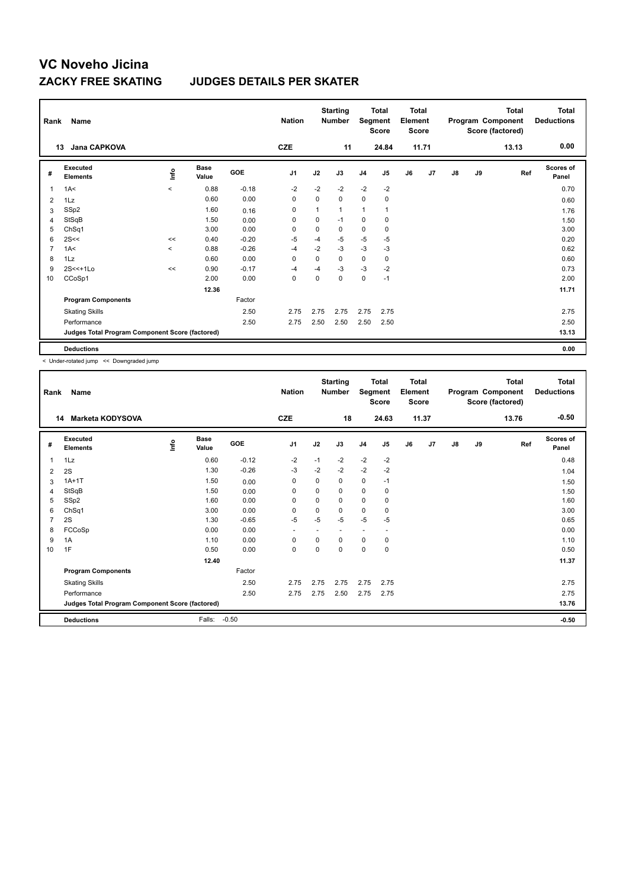### **ZACKY FREE SKATING JUDGES DETAILS PER SKATER**

| Rank           | Name                                            |         |                      |            | <b>Nation</b>  |      | <b>Starting</b><br><b>Number</b> | Segment        | Total<br><b>Score</b> | <b>Total</b><br>Element<br><b>Score</b> |                |               |    | Total<br>Program Component<br>Score (factored) | Total<br><b>Deductions</b> |
|----------------|-------------------------------------------------|---------|----------------------|------------|----------------|------|----------------------------------|----------------|-----------------------|-----------------------------------------|----------------|---------------|----|------------------------------------------------|----------------------------|
|                | Jana CAPKOVA<br>13                              |         |                      |            | <b>CZE</b>     |      | 11                               |                | 24.84                 |                                         | 11.71          |               |    | 13.13                                          | 0.00                       |
| #              | Executed<br><b>Elements</b>                     | lnfo    | <b>Base</b><br>Value | <b>GOE</b> | J <sub>1</sub> | J2   | J3                               | J <sub>4</sub> | J5                    | J6                                      | J <sub>7</sub> | $\mathsf{J}8$ | J9 | Ref                                            | Scores of<br>Panel         |
| $\overline{1}$ | 1A<                                             | $\prec$ | 0.88                 | $-0.18$    | $-2$           | $-2$ | $-2$                             | $-2$           | $-2$                  |                                         |                |               |    |                                                | 0.70                       |
| 2              | 1Lz                                             |         | 0.60                 | 0.00       | 0              | 0    | 0                                | $\mathbf 0$    | 0                     |                                         |                |               |    |                                                | 0.60                       |
| 3              | SSp2                                            |         | 1.60                 | 0.16       | 0              | 1    | 1                                | $\mathbf{1}$   | $\mathbf{1}$          |                                         |                |               |    |                                                | 1.76                       |
| 4              | StSqB                                           |         | 1.50                 | 0.00       | 0              | 0    | $-1$                             | 0              | 0                     |                                         |                |               |    |                                                | 1.50                       |
| 5              | ChSq1                                           |         | 3.00                 | 0.00       | 0              | 0    | 0                                | $\mathbf 0$    | 0                     |                                         |                |               |    |                                                | 3.00                       |
| 6              | 2S<<                                            | <<      | 0.40                 | $-0.20$    | -5             | $-4$ | $-5$                             | $-5$           | $-5$                  |                                         |                |               |    |                                                | 0.20                       |
| $\overline{7}$ | 1A<                                             | $\prec$ | 0.88                 | $-0.26$    | -4             | $-2$ | $-3$                             | $-3$           | $-3$                  |                                         |                |               |    |                                                | 0.62                       |
| 8              | 1Lz                                             |         | 0.60                 | 0.00       | 0              | 0    | 0                                | 0              | 0                     |                                         |                |               |    |                                                | 0.60                       |
| 9              | $2S < +1LO$                                     | <<      | 0.90                 | $-0.17$    | -4             | $-4$ | $-3$                             | $-3$           | $-2$                  |                                         |                |               |    |                                                | 0.73                       |
| 10             | CCoSp1                                          |         | 2.00                 | 0.00       | $\mathbf 0$    | 0    | $\Omega$                         | $\mathbf 0$    | $-1$                  |                                         |                |               |    |                                                | 2.00                       |
|                |                                                 |         | 12.36                |            |                |      |                                  |                |                       |                                         |                |               |    |                                                | 11.71                      |
|                | <b>Program Components</b>                       |         |                      | Factor     |                |      |                                  |                |                       |                                         |                |               |    |                                                |                            |
|                | <b>Skating Skills</b>                           |         |                      | 2.50       | 2.75           | 2.75 | 2.75                             | 2.75           | 2.75                  |                                         |                |               |    |                                                | 2.75                       |
|                | Performance                                     |         |                      | 2.50       | 2.75           | 2.50 | 2.50                             | 2.50           | 2.50                  |                                         |                |               |    |                                                | 2.50                       |
|                | Judges Total Program Component Score (factored) |         |                      |            |                |      |                                  |                |                       |                                         |                |               |    |                                                | 13.13                      |
|                | <b>Deductions</b>                               |         |                      |            |                |      |                                  |                |                       |                                         |                |               |    |                                                | 0.00                       |

< Under-rotated jump << Downgraded jump

| Rank           | Name                                            |      |                      |            | <b>Nation</b>            |             | <b>Starting</b><br><b>Number</b> | Segment        | <b>Total</b><br><b>Score</b> | <b>Total</b><br>Element<br><b>Score</b> |       |               |    | <b>Total</b><br>Program Component<br>Score (factored) | <b>Total</b><br><b>Deductions</b> |
|----------------|-------------------------------------------------|------|----------------------|------------|--------------------------|-------------|----------------------------------|----------------|------------------------------|-----------------------------------------|-------|---------------|----|-------------------------------------------------------|-----------------------------------|
|                | <b>Marketa KODYSOVA</b><br>14                   |      |                      |            | <b>CZE</b>               |             | 18                               |                | 24.63                        |                                         | 11.37 |               |    | 13.76                                                 | $-0.50$                           |
| #              | Executed<br><b>Elements</b>                     | lnfo | <b>Base</b><br>Value | <b>GOE</b> | J <sub>1</sub>           | J2          | J3                               | J <sub>4</sub> | J <sub>5</sub>               | J6                                      | J7    | $\mathsf{J}8$ | J9 | Ref                                                   | <b>Scores of</b><br>Panel         |
| 1              | 1Lz                                             |      | 0.60                 | $-0.12$    | $-2$                     | $-1$        | $-2$                             | $-2$           | $-2$                         |                                         |       |               |    |                                                       | 0.48                              |
| 2              | 2S                                              |      | 1.30                 | $-0.26$    | -3                       | $-2$        | $-2$                             | $-2$           | $-2$                         |                                         |       |               |    |                                                       | 1.04                              |
| 3              | $1A+1T$                                         |      | 1.50                 | 0.00       | 0                        | 0           | 0                                | 0              | $-1$                         |                                         |       |               |    |                                                       | 1.50                              |
| $\overline{4}$ | StSqB                                           |      | 1.50                 | 0.00       | $\mathbf 0$              | $\mathbf 0$ | 0                                | $\pmb{0}$      | 0                            |                                         |       |               |    |                                                       | 1.50                              |
| 5              | SSp2                                            |      | 1.60                 | 0.00       | 0                        | 0           | 0                                | 0              | 0                            |                                         |       |               |    |                                                       | 1.60                              |
| 6              | ChSq1                                           |      | 3.00                 | 0.00       | 0                        | 0           | 0                                | 0              | 0                            |                                         |       |               |    |                                                       | 3.00                              |
| $\overline{7}$ | 2S                                              |      | 1.30                 | $-0.65$    | $-5$                     | $-5$        | $-5$                             | $-5$           | $-5$                         |                                         |       |               |    |                                                       | 0.65                              |
| 8              | FCCoSp                                          |      | 0.00                 | 0.00       | $\overline{\phantom{a}}$ |             | $\overline{a}$                   | $\overline{a}$ |                              |                                         |       |               |    |                                                       | 0.00                              |
| 9              | 1A                                              |      | 1.10                 | 0.00       | 0                        | 0           | 0                                | 0              | 0                            |                                         |       |               |    |                                                       | 1.10                              |
| 10             | 1F                                              |      | 0.50                 | 0.00       | $\mathbf 0$              | 0           | 0                                | $\mathbf 0$    | 0                            |                                         |       |               |    |                                                       | 0.50                              |
|                |                                                 |      | 12.40                |            |                          |             |                                  |                |                              |                                         |       |               |    |                                                       | 11.37                             |
|                | <b>Program Components</b>                       |      |                      | Factor     |                          |             |                                  |                |                              |                                         |       |               |    |                                                       |                                   |
|                | <b>Skating Skills</b>                           |      |                      | 2.50       | 2.75                     | 2.75        | 2.75                             | 2.75           | 2.75                         |                                         |       |               |    |                                                       | 2.75                              |
|                | Performance                                     |      |                      | 2.50       | 2.75                     | 2.75        | 2.50                             | 2.75           | 2.75                         |                                         |       |               |    |                                                       | 2.75                              |
|                | Judges Total Program Component Score (factored) |      |                      |            |                          |             |                                  |                |                              |                                         |       |               |    |                                                       | 13.76                             |
|                | <b>Deductions</b>                               |      | Falls:               | $-0.50$    |                          |             |                                  |                |                              |                                         |       |               |    |                                                       | $-0.50$                           |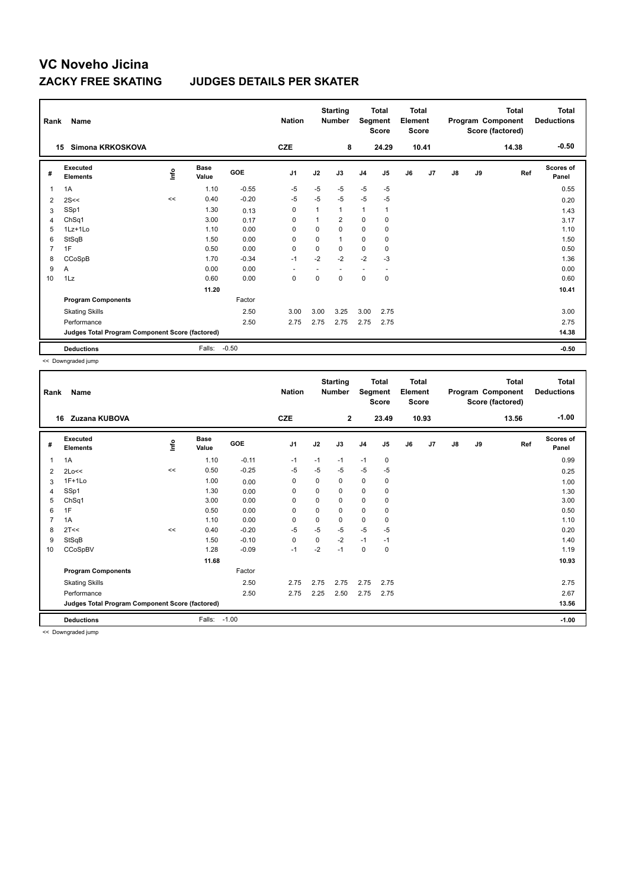### **ZACKY FREE SKATING JUDGES DETAILS PER SKATER**

| Rank           | Name                                            |      |                      |         | <b>Nation</b>  |          | <b>Starting</b><br><b>Number</b> | Segment        | <b>Total</b><br><b>Score</b> | <b>Total</b><br>Element<br><b>Score</b> |       |               |    | Total<br>Program Component<br>Score (factored) | <b>Total</b><br><b>Deductions</b> |
|----------------|-------------------------------------------------|------|----------------------|---------|----------------|----------|----------------------------------|----------------|------------------------------|-----------------------------------------|-------|---------------|----|------------------------------------------------|-----------------------------------|
| 15             | Simona KRKOSKOVA                                |      |                      |         | <b>CZE</b>     |          | 8                                |                | 24.29                        |                                         | 10.41 |               |    | 14.38                                          | $-0.50$                           |
| #              | Executed<br><b>Elements</b>                     | lnfo | <b>Base</b><br>Value | GOE     | J <sub>1</sub> | J2       | J3                               | J <sub>4</sub> | J5                           | J6                                      | J7    | $\mathsf{J}8$ | J9 | Ref                                            | <b>Scores of</b><br>Panel         |
| $\mathbf{1}$   | 1A                                              |      | 1.10                 | $-0.55$ | $-5$           | $-5$     | $-5$                             | $-5$           | $-5$                         |                                         |       |               |    |                                                | 0.55                              |
| 2              | 2S<<                                            | <<   | 0.40                 | $-0.20$ | -5             | $-5$     | $-5$                             | $-5$           | $-5$                         |                                         |       |               |    |                                                | 0.20                              |
| 3              | SSp1                                            |      | 1.30                 | 0.13    | 0              |          | $\mathbf{1}$                     | $\mathbf{1}$   | $\mathbf 1$                  |                                         |       |               |    |                                                | 1.43                              |
| 4              | ChSq1                                           |      | 3.00                 | 0.17    | 0              |          | $\overline{2}$                   | $\mathbf 0$    | 0                            |                                         |       |               |    |                                                | 3.17                              |
| 5              | $1Lz+1Lo$                                       |      | 1.10                 | 0.00    | 0              | 0        | 0                                | 0              | $\mathbf 0$                  |                                         |       |               |    |                                                | 1.10                              |
| 6              | StSqB                                           |      | 1.50                 | 0.00    | 0              | 0        | 1                                | 0              | 0                            |                                         |       |               |    |                                                | 1.50                              |
| $\overline{7}$ | 1F                                              |      | 0.50                 | 0.00    | $\mathbf 0$    | 0        | 0                                | $\mathbf 0$    | 0                            |                                         |       |               |    |                                                | 0.50                              |
| 8              | CCoSpB                                          |      | 1.70                 | $-0.34$ | $-1$           | $-2$     | $-2$                             | $-2$           | $-3$                         |                                         |       |               |    |                                                | 1.36                              |
| 9              | Α                                               |      | 0.00                 | 0.00    |                |          |                                  |                |                              |                                         |       |               |    |                                                | 0.00                              |
| 10             | 1Lz                                             |      | 0.60                 | 0.00    | $\mathbf 0$    | $\Omega$ | $\Omega$                         | $\mathbf 0$    | $\mathbf 0$                  |                                         |       |               |    |                                                | 0.60                              |
|                |                                                 |      | 11.20                |         |                |          |                                  |                |                              |                                         |       |               |    |                                                | 10.41                             |
|                | <b>Program Components</b>                       |      |                      | Factor  |                |          |                                  |                |                              |                                         |       |               |    |                                                |                                   |
|                | <b>Skating Skills</b>                           |      |                      | 2.50    | 3.00           | 3.00     | 3.25                             | 3.00           | 2.75                         |                                         |       |               |    |                                                | 3.00                              |
|                | Performance                                     |      |                      | 2.50    | 2.75           | 2.75     | 2.75                             | 2.75           | 2.75                         |                                         |       |               |    |                                                | 2.75                              |
|                | Judges Total Program Component Score (factored) |      |                      |         |                |          |                                  |                |                              |                                         |       |               |    |                                                | 14.38                             |
|                | <b>Deductions</b>                               |      | Falls:               | $-0.50$ |                |          |                                  |                |                              |                                         |       |               |    |                                                | $-0.50$                           |

<< Downgraded jump

| Rank           | <b>Name</b>                                     |       |                      |         | <b>Nation</b>  |             | <b>Starting</b><br><b>Number</b> | Segment        | <b>Total</b><br>Score | <b>Total</b><br>Element<br><b>Score</b> |       |    |    | <b>Total</b><br>Program Component<br>Score (factored) | <b>Total</b><br><b>Deductions</b> |
|----------------|-------------------------------------------------|-------|----------------------|---------|----------------|-------------|----------------------------------|----------------|-----------------------|-----------------------------------------|-------|----|----|-------------------------------------------------------|-----------------------------------|
|                | Zuzana KUBOVA<br>16                             |       |                      |         | <b>CZE</b>     |             | $\mathbf{2}$                     |                | 23.49                 |                                         | 10.93 |    |    | 13.56                                                 | $-1.00$                           |
| #              | Executed<br><b>Elements</b>                     | ١nfo  | <b>Base</b><br>Value | GOE     | J <sub>1</sub> | J2          | J3                               | J <sub>4</sub> | J <sub>5</sub>        | J6                                      | J7    | J8 | J9 | Ref                                                   | <b>Scores of</b><br>Panel         |
| 1              | 1A                                              |       | 1.10                 | $-0.11$ | $-1$           | $-1$        | $-1$                             | $-1$           | 0                     |                                         |       |    |    |                                                       | 0.99                              |
| 2              | 2Lo<<                                           | $\,<$ | 0.50                 | $-0.25$ | $-5$           | $-5$        | $-5$                             | $-5$           | $-5$                  |                                         |       |    |    |                                                       | 0.25                              |
| 3              | $1F+1Lo$                                        |       | 1.00                 | 0.00    | 0              | 0           | 0                                | 0              | 0                     |                                         |       |    |    |                                                       | 1.00                              |
| 4              | SSp1                                            |       | 1.30                 | 0.00    | 0              | 0           | 0                                | 0              | 0                     |                                         |       |    |    |                                                       | 1.30                              |
| 5              | ChSq1                                           |       | 3.00                 | 0.00    | $\Omega$       | $\Omega$    | $\Omega$                         | $\mathbf 0$    | 0                     |                                         |       |    |    |                                                       | 3.00                              |
| 6              | 1F                                              |       | 0.50                 | 0.00    | $\mathbf 0$    | $\mathbf 0$ | 0                                | $\mathbf 0$    | 0                     |                                         |       |    |    |                                                       | 0.50                              |
| $\overline{7}$ | 1A                                              |       | 1.10                 | 0.00    | 0              | $\mathbf 0$ | 0                                | $\pmb{0}$      | 0                     |                                         |       |    |    |                                                       | 1.10                              |
| 8              | 2T<<                                            | <<    | 0.40                 | $-0.20$ | $-5$           | $-5$        | $-5$                             | $-5$           | $-5$                  |                                         |       |    |    |                                                       | 0.20                              |
| 9              | StSqB                                           |       | 1.50                 | $-0.10$ | 0              | 0           | $-2$                             | $-1$           | $-1$                  |                                         |       |    |    |                                                       | 1.40                              |
| 10             | CCoSpBV                                         |       | 1.28                 | $-0.09$ | $-1$           | $-2$        | $-1$                             | 0              | 0                     |                                         |       |    |    |                                                       | 1.19                              |
|                |                                                 |       | 11.68                |         |                |             |                                  |                |                       |                                         |       |    |    |                                                       | 10.93                             |
|                | <b>Program Components</b>                       |       |                      | Factor  |                |             |                                  |                |                       |                                         |       |    |    |                                                       |                                   |
|                | <b>Skating Skills</b>                           |       |                      | 2.50    | 2.75           | 2.75        | 2.75                             | 2.75           | 2.75                  |                                         |       |    |    |                                                       | 2.75                              |
|                | Performance                                     |       |                      | 2.50    | 2.75           | 2.25        | 2.50                             | 2.75           | 2.75                  |                                         |       |    |    |                                                       | 2.67                              |
|                | Judges Total Program Component Score (factored) |       |                      |         |                |             |                                  |                |                       |                                         |       |    |    |                                                       | 13.56                             |
|                | <b>Deductions</b>                               |       | Falls:               | $-1.00$ |                |             |                                  |                |                       |                                         |       |    |    |                                                       | $-1.00$                           |
|                | $\cdots$                                        |       |                      |         |                |             |                                  |                |                       |                                         |       |    |    |                                                       |                                   |

<< Downgraded jump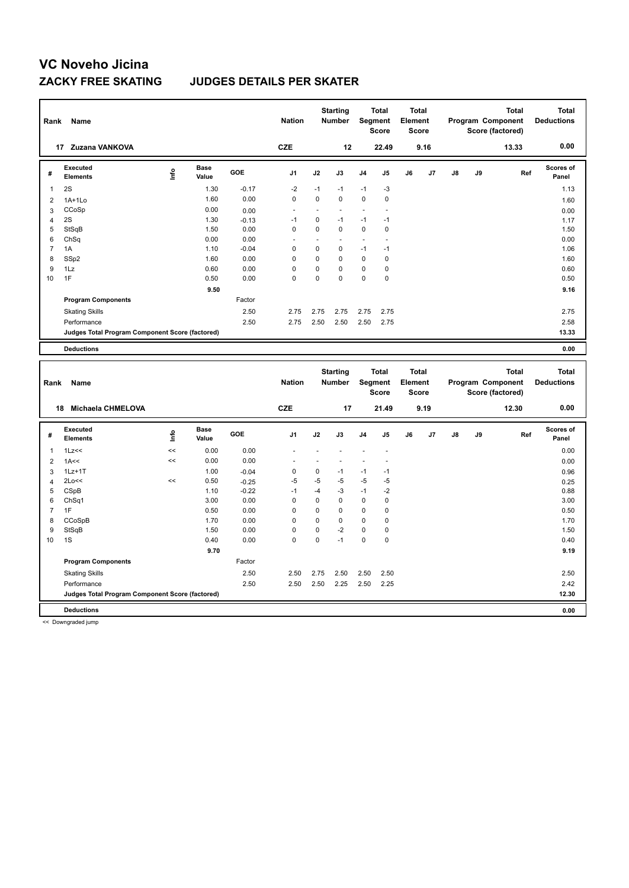### **ZACKY FREE SKATING JUDGES DETAILS PER SKATER**

| Rank           | Name                                            |      |                      |         | <b>Nation</b>  |          | <b>Starting</b><br><b>Number</b> | Segment        | <b>Total</b><br><b>Score</b> | <b>Total</b><br>Element<br><b>Score</b> |      |    |    | <b>Total</b><br>Program Component<br>Score (factored) | <b>Total</b><br><b>Deductions</b> |
|----------------|-------------------------------------------------|------|----------------------|---------|----------------|----------|----------------------------------|----------------|------------------------------|-----------------------------------------|------|----|----|-------------------------------------------------------|-----------------------------------|
| 17             | Zuzana VANKOVA                                  |      |                      |         | <b>CZE</b>     |          | 12                               |                | 22.49                        |                                         | 9.16 |    |    | 13.33                                                 | 0.00                              |
| #              | Executed<br><b>Elements</b>                     | lnfo | <b>Base</b><br>Value | GOE     | J <sub>1</sub> | J2       | J3                               | J <sub>4</sub> | J <sub>5</sub>               | J6                                      | J7   | J8 | J9 | Ref                                                   | Scores of<br>Panel                |
| 1              | 2S                                              |      | 1.30                 | $-0.17$ | $-2$           | $-1$     | $-1$                             | $-1$           | $-3$                         |                                         |      |    |    |                                                       | 1.13                              |
| 2              | $1A+1Lo$                                        |      | 1.60                 | 0.00    | 0              | 0        | 0                                | $\mathbf 0$    | 0                            |                                         |      |    |    |                                                       | 1.60                              |
| 3              | CCoSp                                           |      | 0.00                 | 0.00    | ٠              |          |                                  |                | ٠                            |                                         |      |    |    |                                                       | 0.00                              |
| 4              | 2S                                              |      | 1.30                 | $-0.13$ | $-1$           | 0        | $-1$                             | $-1$           | $-1$                         |                                         |      |    |    |                                                       | 1.17                              |
| 5              | StSqB                                           |      | 1.50                 | 0.00    | $\mathbf 0$    | 0        | 0                                | $\mathbf 0$    | $\mathbf 0$                  |                                         |      |    |    |                                                       | 1.50                              |
| 6              | ChSq                                            |      | 0.00                 | 0.00    |                |          |                                  | ٠              | ٠                            |                                         |      |    |    |                                                       | 0.00                              |
| $\overline{7}$ | 1A                                              |      | 1.10                 | $-0.04$ | 0              | 0        | 0                                | $-1$           | $-1$                         |                                         |      |    |    |                                                       | 1.06                              |
| 8              | SSp2                                            |      | 1.60                 | 0.00    | $\mathbf 0$    | $\Omega$ | 0                                | $\mathbf 0$    | 0                            |                                         |      |    |    |                                                       | 1.60                              |
| 9              | 1Lz                                             |      | 0.60                 | 0.00    | $\Omega$       | 0        | $\Omega$                         | 0              | 0                            |                                         |      |    |    |                                                       | 0.60                              |
| 10             | 1F                                              |      | 0.50                 | 0.00    | $\mathbf 0$    | $\Omega$ | $\Omega$                         | $\mathbf 0$    | $\mathbf 0$                  |                                         |      |    |    |                                                       | 0.50                              |
|                |                                                 |      | 9.50                 |         |                |          |                                  |                |                              |                                         |      |    |    |                                                       | 9.16                              |
|                | <b>Program Components</b>                       |      |                      | Factor  |                |          |                                  |                |                              |                                         |      |    |    |                                                       |                                   |
|                | <b>Skating Skills</b>                           |      |                      | 2.50    | 2.75           | 2.75     | 2.75                             | 2.75           | 2.75                         |                                         |      |    |    |                                                       | 2.75                              |
|                | Performance                                     |      |                      | 2.50    | 2.75           | 2.50     | 2.50                             | 2.50           | 2.75                         |                                         |      |    |    |                                                       | 2.58                              |
|                | Judges Total Program Component Score (factored) |      |                      |         |                |          |                                  |                |                              |                                         |      |    |    |                                                       | 13.33                             |
|                | <b>Deductions</b>                               |      |                      |         |                |          |                                  |                |                              |                                         |      |    |    |                                                       | 0.00                              |

| Rank           | Name                                            |      |                      |            | <b>Nation</b>  |      | <b>Starting</b><br><b>Number</b> | Segment        | <b>Total</b><br><b>Score</b> | <b>Total</b><br>Element<br><b>Score</b> |      |               |    | <b>Total</b><br>Program Component<br>Score (factored) | <b>Total</b><br><b>Deductions</b> |
|----------------|-------------------------------------------------|------|----------------------|------------|----------------|------|----------------------------------|----------------|------------------------------|-----------------------------------------|------|---------------|----|-------------------------------------------------------|-----------------------------------|
|                | <b>Michaela CHMELOVA</b><br>18                  |      |                      |            | <b>CZE</b>     |      | 17                               |                | 21.49                        |                                         | 9.19 |               |    | 12.30                                                 | 0.00                              |
| #              | Executed<br><b>Elements</b>                     | ١nfo | <b>Base</b><br>Value | <b>GOE</b> | J <sub>1</sub> | J2   | J3                               | J <sub>4</sub> | J <sub>5</sub>               | J6                                      | J7   | $\mathsf{J}8$ | J9 | Ref                                                   | Scores of<br>Panel                |
| $\overline{1}$ | 1Lz<<                                           | <<   | 0.00                 | 0.00       |                |      |                                  |                |                              |                                         |      |               |    |                                                       | 0.00                              |
| 2              | 1A<<                                            | <<   | 0.00                 | 0.00       |                |      |                                  |                |                              |                                         |      |               |    |                                                       | 0.00                              |
| 3              | $1Lz+1T$                                        |      | 1.00                 | $-0.04$    | 0              | 0    | $-1$                             | $-1$           | $-1$                         |                                         |      |               |    |                                                       | 0.96                              |
| $\overline{4}$ | 2Lo<<                                           | <<   | 0.50                 | $-0.25$    | $-5$           | $-5$ | $-5$                             | $-5$           | $-5$                         |                                         |      |               |    |                                                       | 0.25                              |
| 5              | CSpB                                            |      | 1.10                 | $-0.22$    | $-1$           | $-4$ | $-3$                             | $-1$           | $-2$                         |                                         |      |               |    |                                                       | 0.88                              |
| 6              | ChSq1                                           |      | 3.00                 | 0.00       | 0              | 0    | $\mathbf 0$                      | $\mathbf 0$    | $\mathbf 0$                  |                                         |      |               |    |                                                       | 3.00                              |
| $\overline{7}$ | 1F                                              |      | 0.50                 | 0.00       | $\mathbf 0$    | 0    | $\mathbf 0$                      | $\pmb{0}$      | $\mathbf 0$                  |                                         |      |               |    |                                                       | 0.50                              |
| 8              | CCoSpB                                          |      | 1.70                 | 0.00       | 0              | 0    | $\mathbf 0$                      | $\pmb{0}$      | 0                            |                                         |      |               |    |                                                       | 1.70                              |
| 9              | StSqB                                           |      | 1.50                 | 0.00       | 0              | 0    | $-2$                             | $\mathbf 0$    | 0                            |                                         |      |               |    |                                                       | 1.50                              |
| 10             | 1S                                              |      | 0.40                 | 0.00       | $\mathbf 0$    | 0    | $-1$                             | $\mathbf 0$    | $\mathbf 0$                  |                                         |      |               |    |                                                       | 0.40                              |
|                |                                                 |      | 9.70                 |            |                |      |                                  |                |                              |                                         |      |               |    |                                                       | 9.19                              |
|                | <b>Program Components</b>                       |      |                      | Factor     |                |      |                                  |                |                              |                                         |      |               |    |                                                       |                                   |
|                | <b>Skating Skills</b>                           |      |                      | 2.50       | 2.50           | 2.75 | 2.50                             | 2.50           | 2.50                         |                                         |      |               |    |                                                       | 2.50                              |
|                | Performance                                     |      |                      | 2.50       | 2.50           | 2.50 | 2.25                             | 2.50           | 2.25                         |                                         |      |               |    |                                                       | 2.42                              |
|                | Judges Total Program Component Score (factored) |      |                      |            |                |      |                                  |                |                              |                                         |      |               |    |                                                       | 12.30                             |
|                | <b>Deductions</b>                               |      |                      |            |                |      |                                  |                |                              |                                         |      |               |    |                                                       | 0.00                              |
|                |                                                 |      |                      |            |                |      |                                  |                |                              |                                         |      |               |    |                                                       |                                   |

<< Downgraded jump